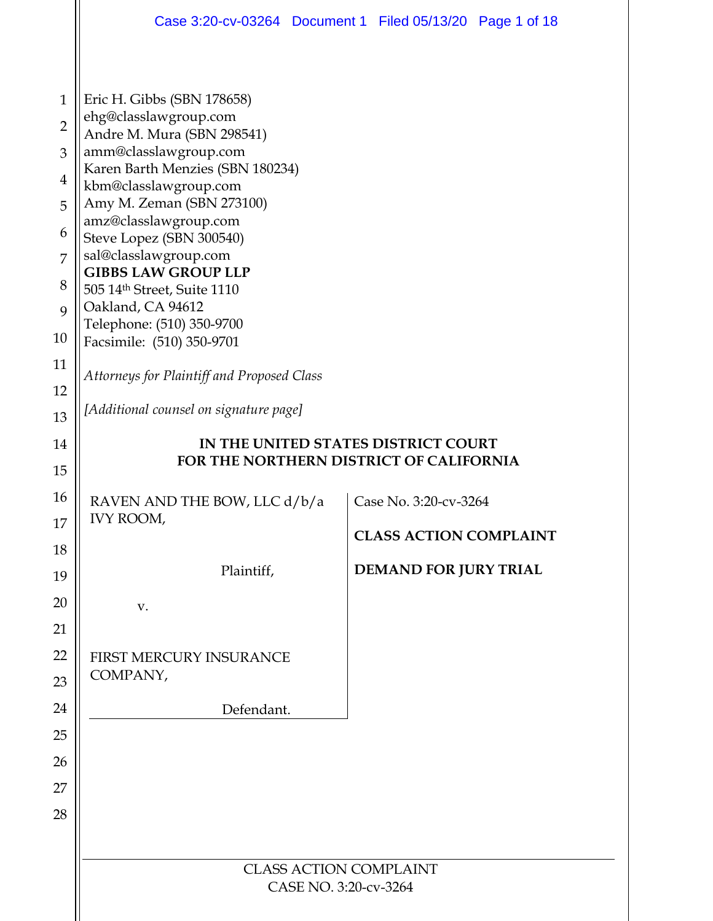|                | Case 3:20-cv-03264 Document 1 Filed 05/13/20 Page 1 of 18 |                                         |  |  |  |  |  |  |
|----------------|-----------------------------------------------------------|-----------------------------------------|--|--|--|--|--|--|
|                |                                                           |                                         |  |  |  |  |  |  |
| $\mathbf{1}$   | Eric H. Gibbs (SBN 178658)                                |                                         |  |  |  |  |  |  |
| $\overline{2}$ | ehg@classlawgroup.com<br>Andre M. Mura (SBN 298541)       |                                         |  |  |  |  |  |  |
| 3              | amm@classlawgroup.com                                     |                                         |  |  |  |  |  |  |
| 4              | Karen Barth Menzies (SBN 180234)<br>kbm@classlawgroup.com |                                         |  |  |  |  |  |  |
| 5              | Amy M. Zeman (SBN 273100)<br>amz@classlawgroup.com        |                                         |  |  |  |  |  |  |
| 6              | Steve Lopez (SBN 300540)                                  |                                         |  |  |  |  |  |  |
| 7              | sal@classlawgroup.com<br><b>GIBBS LAW GROUP LLP</b>       |                                         |  |  |  |  |  |  |
| 8              | 505 14th Street, Suite 1110                               |                                         |  |  |  |  |  |  |
| 9              | Oakland, CA 94612<br>Telephone: (510) 350-9700            |                                         |  |  |  |  |  |  |
| 10             | Facsimile: (510) 350-9701                                 |                                         |  |  |  |  |  |  |
| 11             | Attorneys for Plaintiff and Proposed Class                |                                         |  |  |  |  |  |  |
| 12<br>13       | [Additional counsel on signature page]                    |                                         |  |  |  |  |  |  |
| 14             | IN THE UNITED STATES DISTRICT COURT                       |                                         |  |  |  |  |  |  |
| 15             |                                                           | FOR THE NORTHERN DISTRICT OF CALIFORNIA |  |  |  |  |  |  |
| 16             | RAVEN AND THE BOW, LLC d/b/a<br>Case No. 3:20-cv-3264     |                                         |  |  |  |  |  |  |
| 17             | IVY ROOM,                                                 | <b>CLASS ACTION COMPLAINT</b>           |  |  |  |  |  |  |
| 18             |                                                           |                                         |  |  |  |  |  |  |
| 19             | Plaintiff,                                                | DEMAND FOR JURY TRIAL                   |  |  |  |  |  |  |
| 20             | V.                                                        |                                         |  |  |  |  |  |  |
| 21             |                                                           |                                         |  |  |  |  |  |  |
| 22             | FIRST MERCURY INSURANCE                                   |                                         |  |  |  |  |  |  |
| 23             | COMPANY,                                                  |                                         |  |  |  |  |  |  |
| 24             | Defendant.                                                |                                         |  |  |  |  |  |  |
| 25             |                                                           |                                         |  |  |  |  |  |  |
| 26             |                                                           |                                         |  |  |  |  |  |  |
| 27             |                                                           |                                         |  |  |  |  |  |  |
| 28             |                                                           |                                         |  |  |  |  |  |  |
|                | <b>CLASS ACTION COMPLAINT</b>                             |                                         |  |  |  |  |  |  |
|                | CASE NO. 3:20-cv-3264                                     |                                         |  |  |  |  |  |  |
|                |                                                           |                                         |  |  |  |  |  |  |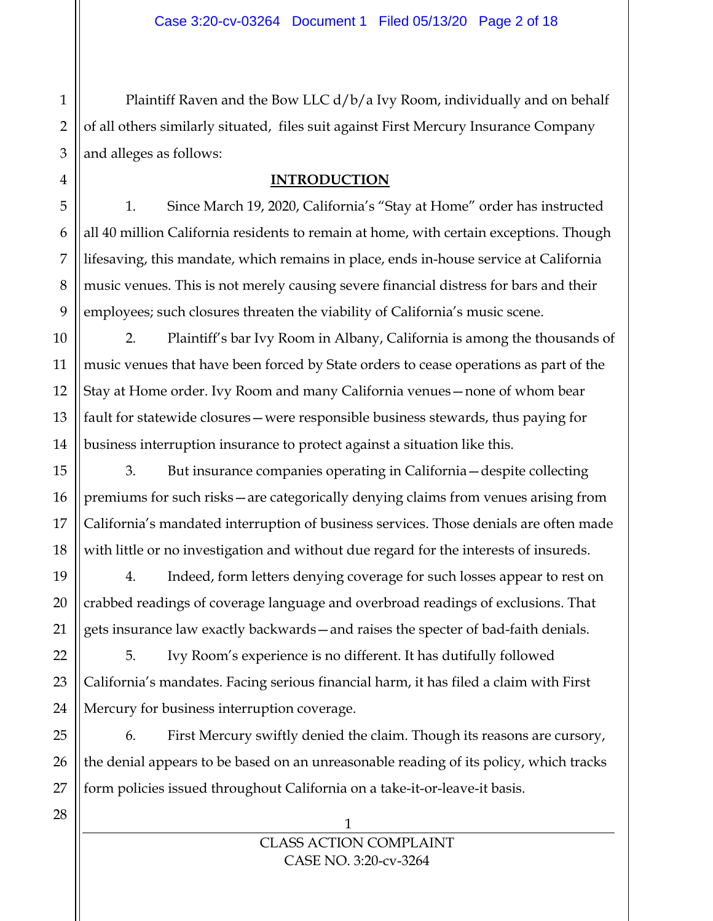Plaintiff Raven and the Bow LLC d/b/a Ivy Room, individually and on behalf of all others similarly situated, files suit against First Mercury Insurance Company and alleges as follows:

# **INTRODUCTION**

1. Since March 19, 2020, California's "Stay at Home" order has instructed all 40 million California residents to remain at home, with certain exceptions. Though lifesaving, this mandate, which remains in place, ends in-house service at California music venues. This is not merely causing severe financial distress for bars and their employees; such closures threaten the viability of California's music scene.

2. Plaintiff's bar Ivy Room in Albany, California is among the thousands of music venues that have been forced by State orders to cease operations as part of the Stay at Home order. Ivy Room and many California venues—none of whom bear fault for statewide closures—were responsible business stewards, thus paying for business interruption insurance to protect against a situation like this.

3. But insurance companies operating in California—despite collecting premiums for such risks—are categorically denying claims from venues arising from California's mandated interruption of business services. Those denials are often made with little or no investigation and without due regard for the interests of insureds.

4. Indeed, form letters denying coverage for such losses appear to rest on crabbed readings of coverage language and overbroad readings of exclusions. That gets insurance law exactly backwards—and raises the specter of bad-faith denials.

5. Ivy Room's experience is no different. It has dutifully followed California's mandates. Facing serious financial harm, it has filed a claim with First Mercury for business interruption coverage.

6. First Mercury swiftly denied the claim. Though its reasons are cursory, the denial appears to be based on an unreasonable reading of its policy, which tracks form policies issued throughout California on a take-it-or-leave-it basis.

1

1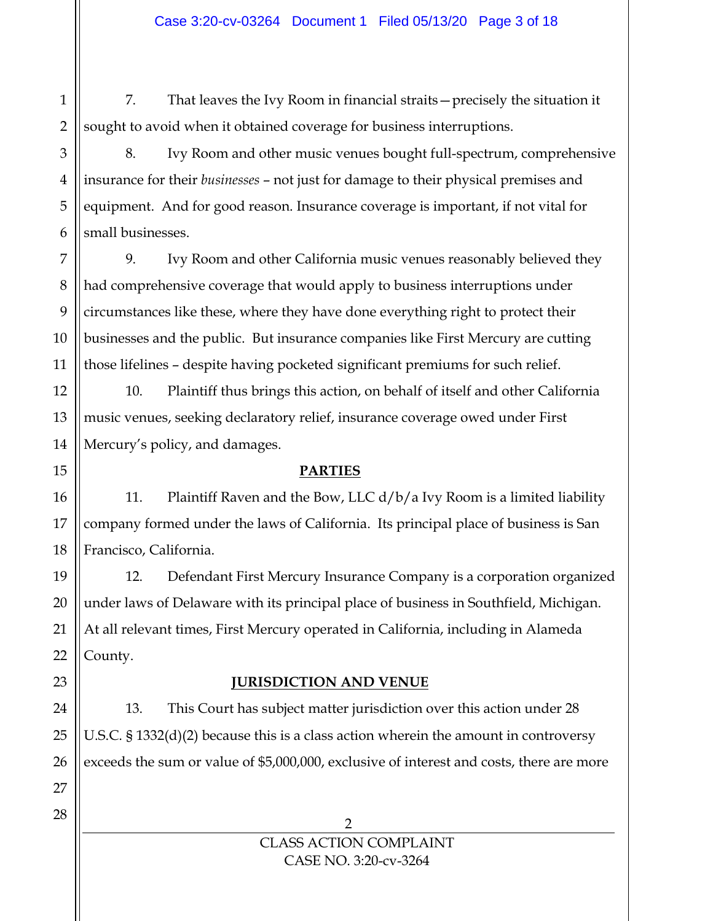7. That leaves the Ivy Room in financial straits—precisely the situation it sought to avoid when it obtained coverage for business interruptions.

8. Ivy Room and other music venues bought full-spectrum, comprehensive insurance for their *businesses* – not just for damage to their physical premises and equipment. And for good reason. Insurance coverage is important, if not vital for small businesses.

9. Ivy Room and other California music venues reasonably believed they had comprehensive coverage that would apply to business interruptions under circumstances like these, where they have done everything right to protect their businesses and the public. But insurance companies like First Mercury are cutting those lifelines – despite having pocketed significant premiums for such relief.

10. Plaintiff thus brings this action, on behalf of itself and other California music venues, seeking declaratory relief, insurance coverage owed under First Mercury's policy, and damages.

# **PARTIES**

11. Plaintiff Raven and the Bow, LLC  $d/b/a$  Ivy Room is a limited liability company formed under the laws of California. Its principal place of business is San Francisco, California.

12. Defendant First Mercury Insurance Company is a corporation organized under laws of Delaware with its principal place of business in Southfield, Michigan. At all relevant times, First Mercury operated in California, including in Alameda County.

# **JURISDICTION AND VENUE**

13. This Court has subject matter jurisdiction over this action under 28 U.S.C. § 1332(d)(2) because this is a class action wherein the amount in controversy exceeds the sum or value of \$5,000,000, exclusive of interest and costs, there are more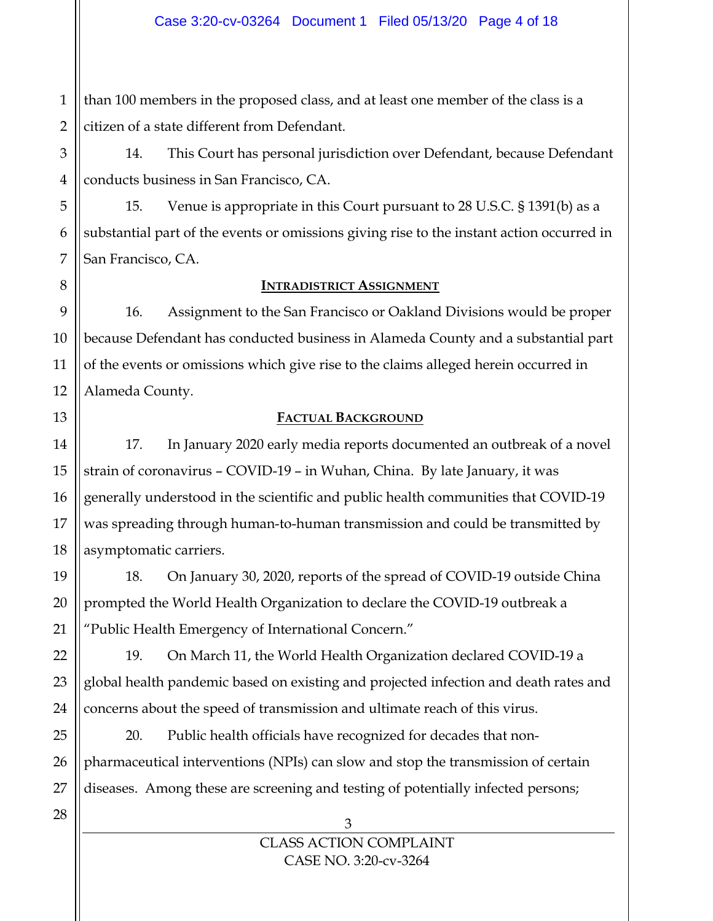1 than 100 members in the proposed class, and at least one member of the class is a citizen of a state different from Defendant.

14. This Court has personal jurisdiction over Defendant, because Defendant conducts business in San Francisco, CA.

15. Venue is appropriate in this Court pursuant to 28 U.S.C. § 1391(b) as a substantial part of the events or omissions giving rise to the instant action occurred in San Francisco, CA.

#### **INTRADISTRICT ASSIGNMENT**

16. Assignment to the San Francisco or Oakland Divisions would be proper because Defendant has conducted business in Alameda County and a substantial part of the events or omissions which give rise to the claims alleged herein occurred in Alameda County.

# **FACTUAL BACKGROUND**

17. In January 2020 early media reports documented an outbreak of a novel strain of coronavirus – COVID-19 – in Wuhan, China. By late January, it was generally understood in the scientific and public health communities that COVID-19 was spreading through human-to-human transmission and could be transmitted by asymptomatic carriers.

18. On January 30, 2020, reports of the spread of COVID-19 outside China prompted the World Health Organization to declare the COVID-19 outbreak a "Public Health Emergency of International Concern."

19. On March 11, the World Health Organization declared COVID-19 a global health pandemic based on existing and projected infection and death rates and concerns about the speed of transmission and ultimate reach of this virus.

20. Public health officials have recognized for decades that nonpharmaceutical interventions (NPIs) can slow and stop the transmission of certain diseases. Among these are screening and testing of potentially infected persons;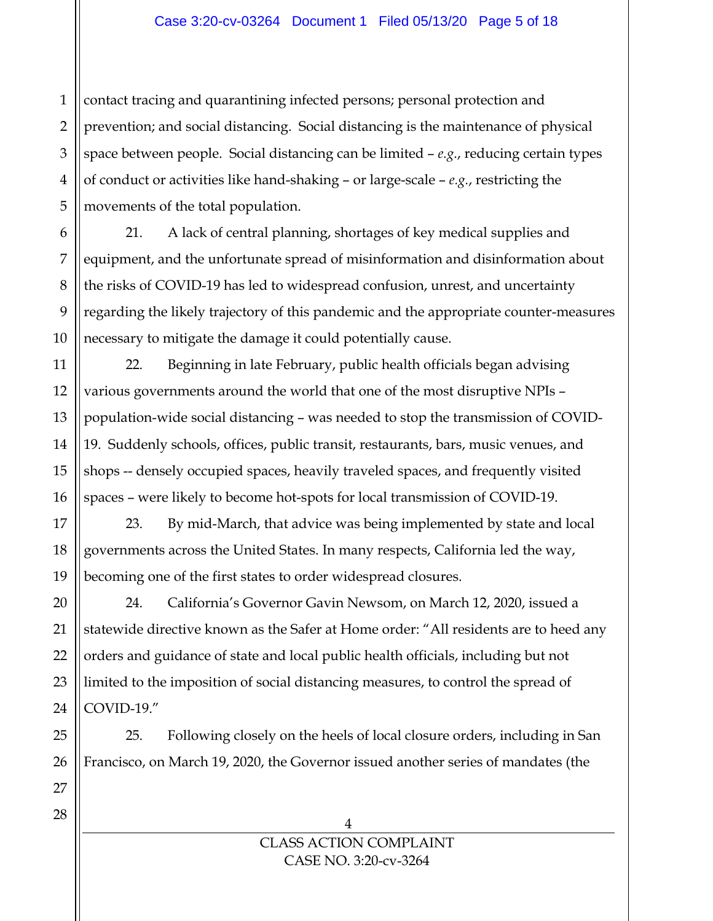1 2 contact tracing and quarantining infected persons; personal protection and prevention; and social distancing. Social distancing is the maintenance of physical space between people. Social distancing can be limited – *e.g.*, reducing certain types of conduct or activities like hand-shaking – or large-scale – *e.g.*, restricting the movements of the total population.

21. A lack of central planning, shortages of key medical supplies and equipment, and the unfortunate spread of misinformation and disinformation about the risks of COVID-19 has led to widespread confusion, unrest, and uncertainty regarding the likely trajectory of this pandemic and the appropriate counter-measures necessary to mitigate the damage it could potentially cause.

22. Beginning in late February, public health officials began advising various governments around the world that one of the most disruptive NPIs – population-wide social distancing – was needed to stop the transmission of COVID-19. Suddenly schools, offices, public transit, restaurants, bars, music venues, and shops -- densely occupied spaces, heavily traveled spaces, and frequently visited spaces – were likely to become hot-spots for local transmission of COVID-19.

23. By mid-March, that advice was being implemented by state and local governments across the United States. In many respects, California led the way, becoming one of the first states to order widespread closures.

24. California's Governor Gavin Newsom, on March 12, 2020, issued a statewide directive known as the Safer at Home order: "All residents are to heed any orders and guidance of state and local public health officials, including but not limited to the imposition of social distancing measures, to control the spread of COVID-19."

25. Following closely on the heels of local closure orders, including in San Francisco, on March 19, 2020, the Governor issued another series of mandates (the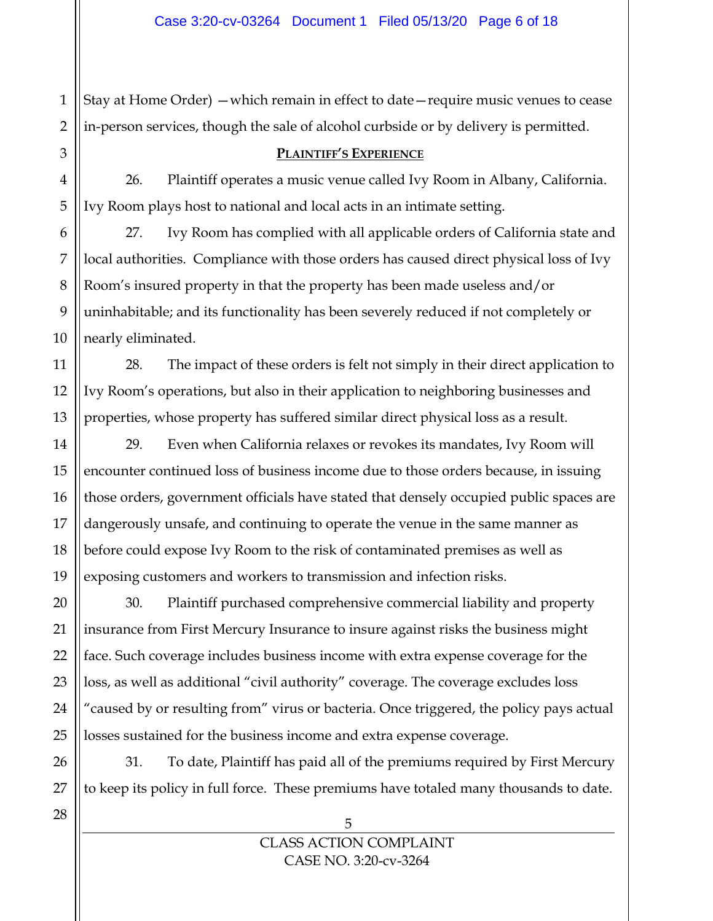1 Stay at Home Order) —which remain in effect to date—require music venues to cease in-person services, though the sale of alcohol curbside or by delivery is permitted.

#### **PLAINTIFF'S EXPERIENCE**

26. Plaintiff operates a music venue called Ivy Room in Albany, California. Ivy Room plays host to national and local acts in an intimate setting.

27. Ivy Room has complied with all applicable orders of California state and local authorities. Compliance with those orders has caused direct physical loss of Ivy Room's insured property in that the property has been made useless and/or uninhabitable; and its functionality has been severely reduced if not completely or nearly eliminated.

28. The impact of these orders is felt not simply in their direct application to Ivy Room's operations, but also in their application to neighboring businesses and properties, whose property has suffered similar direct physical loss as a result.

29. Even when California relaxes or revokes its mandates, Ivy Room will encounter continued loss of business income due to those orders because, in issuing those orders, government officials have stated that densely occupied public spaces are dangerously unsafe, and continuing to operate the venue in the same manner as before could expose Ivy Room to the risk of contaminated premises as well as exposing customers and workers to transmission and infection risks.

30. Plaintiff purchased comprehensive commercial liability and property insurance from First Mercury Insurance to insure against risks the business might face. Such coverage includes business income with extra expense coverage for the loss, as well as additional "civil authority" coverage. The coverage excludes loss "caused by or resulting from" virus or bacteria. Once triggered, the policy pays actual losses sustained for the business income and extra expense coverage.

31. To date, Plaintiff has paid all of the premiums required by First Mercury to keep its policy in full force. These premiums have totaled many thousands to date.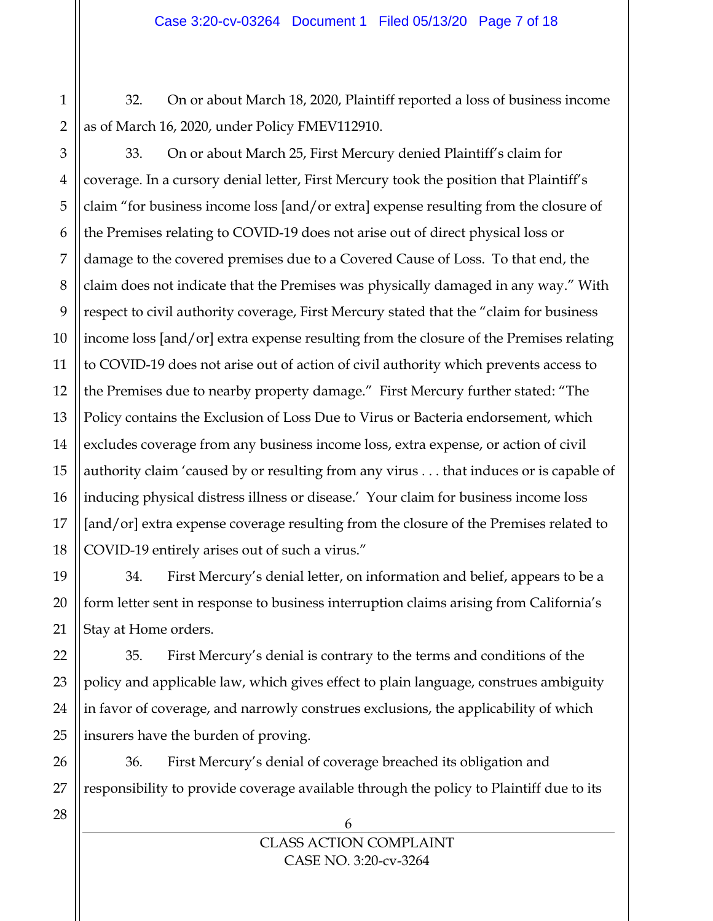32. On or about March 18, 2020, Plaintiff reported a loss of business income as of March 16, 2020, under Policy FMEV112910.

1

2

3 33. On or about March 25, First Mercury denied Plaintiff's claim for coverage. In a cursory denial letter, First Mercury took the position that Plaintiff's claim "for business income loss [and/or extra] expense resulting from the closure of the Premises relating to COVID-19 does not arise out of direct physical loss or damage to the covered premises due to a Covered Cause of Loss. To that end, the claim does not indicate that the Premises was physically damaged in any way." With respect to civil authority coverage, First Mercury stated that the "claim for business income loss [and/or] extra expense resulting from the closure of the Premises relating to COVID-19 does not arise out of action of civil authority which prevents access to the Premises due to nearby property damage." First Mercury further stated: "The Policy contains the Exclusion of Loss Due to Virus or Bacteria endorsement, which excludes coverage from any business income loss, extra expense, or action of civil authority claim 'caused by or resulting from any virus . . . that induces or is capable of inducing physical distress illness or disease.' Your claim for business income loss [and/or] extra expense coverage resulting from the closure of the Premises related to COVID-19 entirely arises out of such a virus."

34. First Mercury's denial letter, on information and belief, appears to be a form letter sent in response to business interruption claims arising from California's Stay at Home orders.

35. First Mercury's denial is contrary to the terms and conditions of the policy and applicable law, which gives effect to plain language, construes ambiguity in favor of coverage, and narrowly construes exclusions, the applicability of which insurers have the burden of proving.

36. First Mercury's denial of coverage breached its obligation and responsibility to provide coverage available through the policy to Plaintiff due to its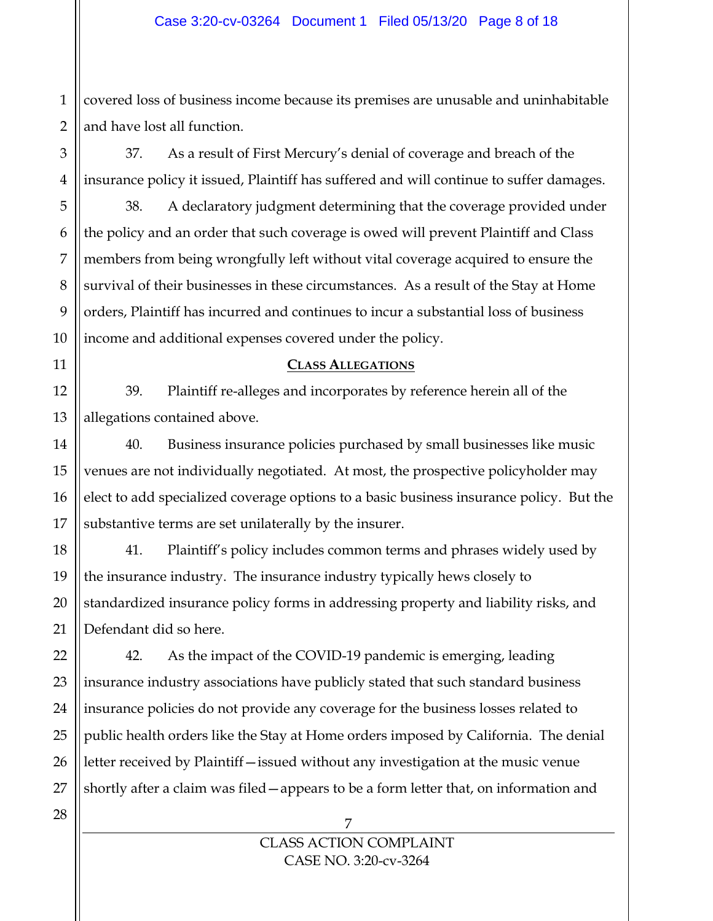1 2 covered loss of business income because its premises are unusable and uninhabitable and have lost all function.

37. As a result of First Mercury's denial of coverage and breach of the insurance policy it issued, Plaintiff has suffered and will continue to suffer damages.

38. A declaratory judgment determining that the coverage provided under the policy and an order that such coverage is owed will prevent Plaintiff and Class members from being wrongfully left without vital coverage acquired to ensure the survival of their businesses in these circumstances. As a result of the Stay at Home orders, Plaintiff has incurred and continues to incur a substantial loss of business income and additional expenses covered under the policy.

#### **CLASS ALLEGATIONS**

39. Plaintiff re-alleges and incorporates by reference herein all of the allegations contained above.

40. Business insurance policies purchased by small businesses like music venues are not individually negotiated. At most, the prospective policyholder may elect to add specialized coverage options to a basic business insurance policy. But the substantive terms are set unilaterally by the insurer.

41. Plaintiff's policy includes common terms and phrases widely used by the insurance industry. The insurance industry typically hews closely to standardized insurance policy forms in addressing property and liability risks, and Defendant did so here.

42. As the impact of the COVID-19 pandemic is emerging, leading insurance industry associations have publicly stated that such standard business insurance policies do not provide any coverage for the business losses related to public health orders like the Stay at Home orders imposed by California. The denial letter received by Plaintiff—issued without any investigation at the music venue shortly after a claim was filed—appears to be a form letter that, on information and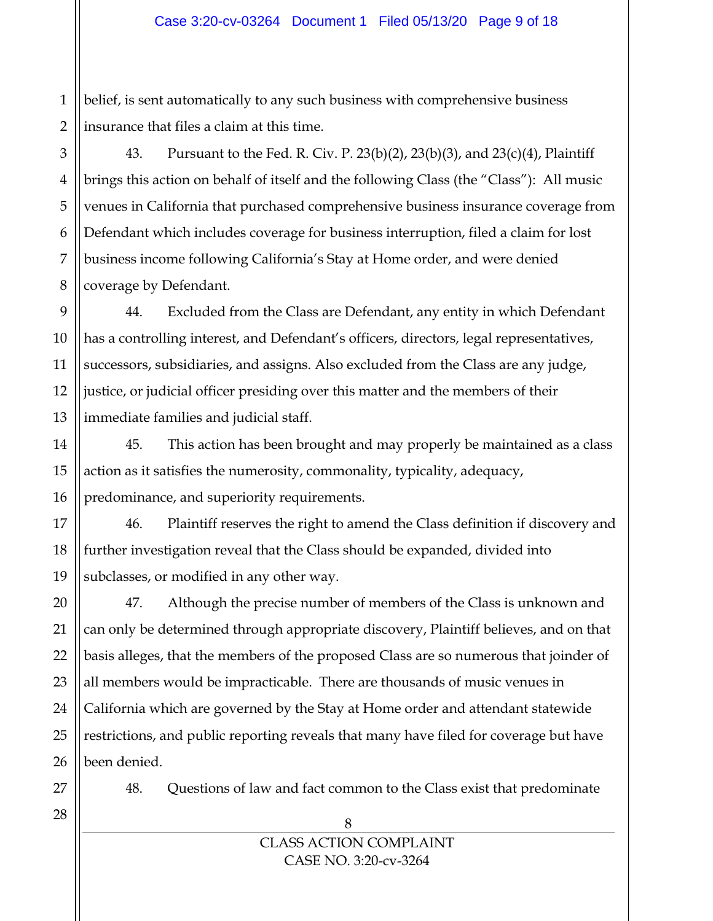1 2 belief, is sent automatically to any such business with comprehensive business insurance that files a claim at this time.

3 4 5 6 7 8 43. Pursuant to the Fed. R. Civ. P. 23(b)(2), 23(b)(3), and 23(c)(4), Plaintiff brings this action on behalf of itself and the following Class (the "Class"): All music venues in California that purchased comprehensive business insurance coverage from Defendant which includes coverage for business interruption, filed a claim for lost business income following California's Stay at Home order, and were denied coverage by Defendant.

9 10 11 12 13 44. Excluded from the Class are Defendant, any entity in which Defendant has a controlling interest, and Defendant's officers, directors, legal representatives, successors, subsidiaries, and assigns. Also excluded from the Class are any judge, justice, or judicial officer presiding over this matter and the members of their immediate families and judicial staff.

45. This action has been brought and may properly be maintained as a class action as it satisfies the numerosity, commonality, typicality, adequacy, predominance, and superiority requirements.

46. Plaintiff reserves the right to amend the Class definition if discovery and further investigation reveal that the Class should be expanded, divided into subclasses, or modified in any other way.

47. Although the precise number of members of the Class is unknown and can only be determined through appropriate discovery, Plaintiff believes, and on that basis alleges, that the members of the proposed Class are so numerous that joinder of all members would be impracticable. There are thousands of music venues in California which are governed by the Stay at Home order and attendant statewide restrictions, and public reporting reveals that many have filed for coverage but have been denied.

27

48. Questions of law and fact common to the Class exist that predominate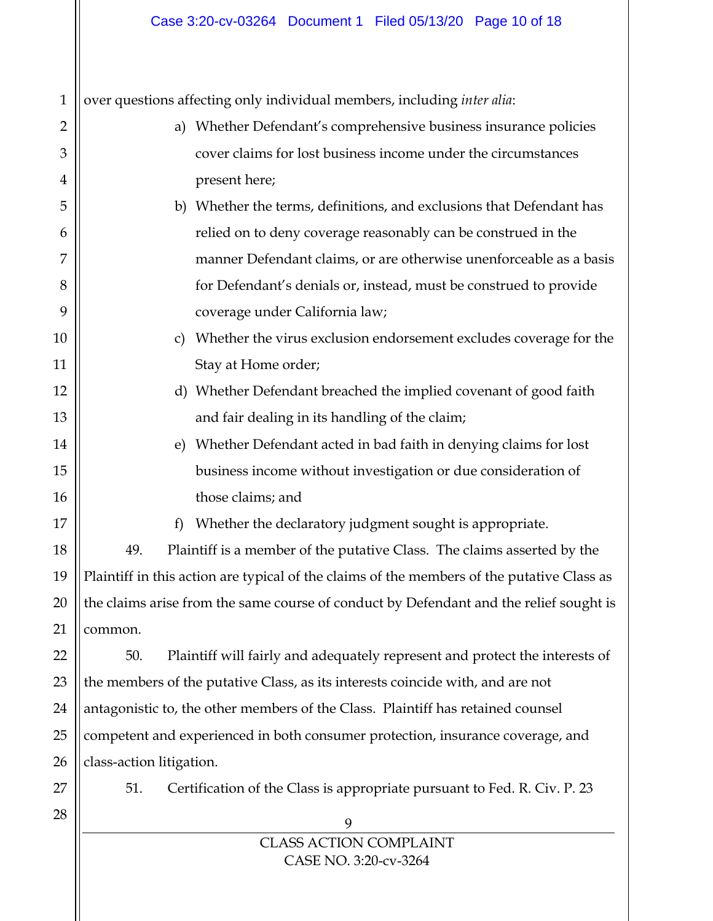9 CLASS ACTION COMPLAINT 1 2 3 4 5 6 7 8 9 10 11 12 13 14 15 16 17 18 19 20 21 22 23 24 25 26 27 28 over questions affecting only individual members, including *inter alia*: a) Whether Defendant's comprehensive business insurance policies cover claims for lost business income under the circumstances present here; b) Whether the terms, definitions, and exclusions that Defendant has relied on to deny coverage reasonably can be construed in the manner Defendant claims, or are otherwise unenforceable as a basis for Defendant's denials or, instead, must be construed to provide coverage under California law; c) Whether the virus exclusion endorsement excludes coverage for the Stay at Home order; d) Whether Defendant breached the implied covenant of good faith and fair dealing in its handling of the claim; e) Whether Defendant acted in bad faith in denying claims for lost business income without investigation or due consideration of those claims; and f) Whether the declaratory judgment sought is appropriate. 49. Plaintiff is a member of the putative Class. The claims asserted by the Plaintiff in this action are typical of the claims of the members of the putative Class as the claims arise from the same course of conduct by Defendant and the relief sought is common. 50. Plaintiff will fairly and adequately represent and protect the interests of the members of the putative Class, as its interests coincide with, and are not antagonistic to, the other members of the Class. Plaintiff has retained counsel competent and experienced in both consumer protection, insurance coverage, and class-action litigation. 51. Certification of the Class is appropriate pursuant to Fed. R. Civ. P. 23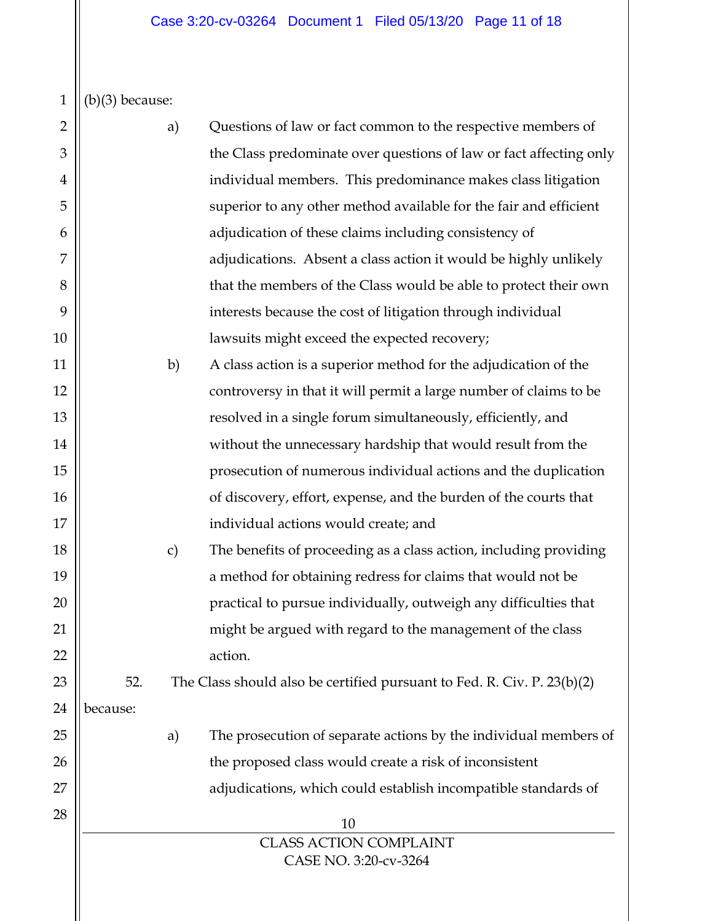$1 \mid \mid (b)(3)$  because:

| $\overline{2}$ |          | a)            | Questions of law or fact common to the respective members of            |
|----------------|----------|---------------|-------------------------------------------------------------------------|
| 3              |          |               | the Class predominate over questions of law or fact affecting only      |
| $\overline{4}$ |          |               | individual members. This predominance makes class litigation            |
| 5              |          |               | superior to any other method available for the fair and efficient       |
| 6              |          |               | adjudication of these claims including consistency of                   |
| 7              |          |               | adjudications. Absent a class action it would be highly unlikely        |
| 8              |          |               | that the members of the Class would be able to protect their own        |
| 9              |          |               | interests because the cost of litigation through individual             |
| 10             |          |               | lawsuits might exceed the expected recovery;                            |
| 11             |          | b)            | A class action is a superior method for the adjudication of the         |
| 12             |          |               | controversy in that it will permit a large number of claims to be       |
| 13             |          |               | resolved in a single forum simultaneously, efficiently, and             |
| 14             |          |               | without the unnecessary hardship that would result from the             |
| 15             |          |               | prosecution of numerous individual actions and the duplication          |
| 16             |          |               | of discovery, effort, expense, and the burden of the courts that        |
| 17             |          |               | individual actions would create; and                                    |
| 18             |          | $\mathbf{c})$ | The benefits of proceeding as a class action, including providing       |
| 19             |          |               | a method for obtaining redress for claims that would not be             |
| 20             |          |               | practical to pursue individually, outweigh any difficulties that        |
| 21             |          |               | might be argued with regard to the management of the class              |
| 22             |          |               | action.                                                                 |
| 23             | 52.      |               | The Class should also be certified pursuant to Fed. R. Civ. P. 23(b)(2) |
| 24             | because: |               |                                                                         |
| 25             |          | a)            | The prosecution of separate actions by the individual members of        |
| 26             |          |               | the proposed class would create a risk of inconsistent                  |
| 27             |          |               | adjudications, which could establish incompatible standards of          |
| 28             |          |               | 10                                                                      |
|                |          |               | <b>CLASS ACTION COMPLAINT</b>                                           |
|                |          |               | CASE NO. 3:20-cv-3264                                                   |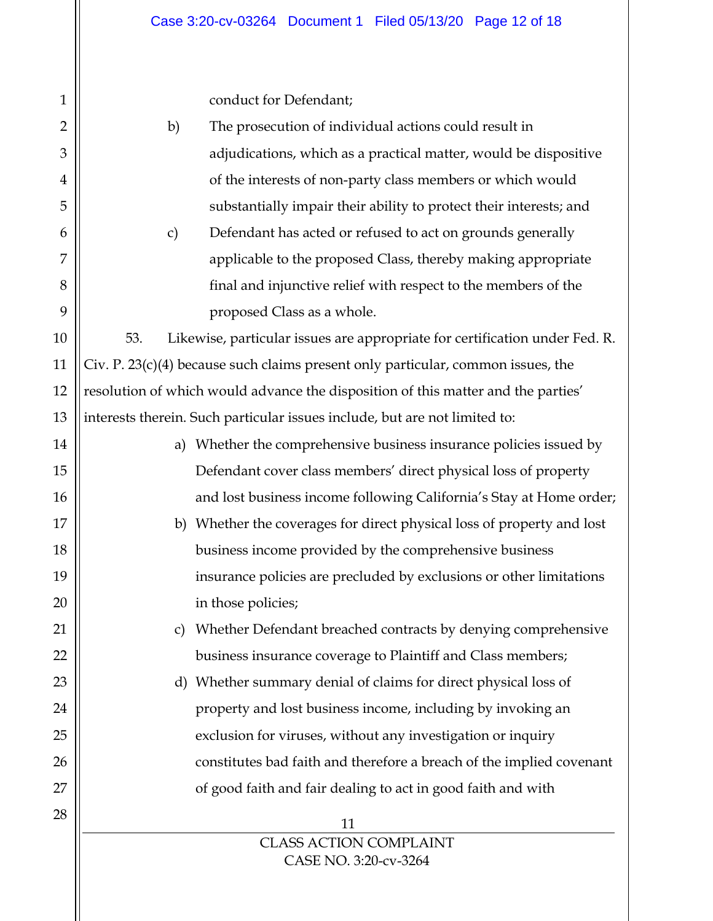conduct for Defendant;

1

 $\mathsf{II}$ 

| $\overline{2}$ | b)  | The prosecution of individual actions could result in                              |
|----------------|-----|------------------------------------------------------------------------------------|
| 3              |     | adjudications, which as a practical matter, would be dispositive                   |
|                |     |                                                                                    |
| 4              |     | of the interests of non-party class members or which would                         |
| 5              |     | substantially impair their ability to protect their interests; and                 |
| 6              | c)  | Defendant has acted or refused to act on grounds generally                         |
| 7              |     | applicable to the proposed Class, thereby making appropriate                       |
| 8              |     | final and injunctive relief with respect to the members of the                     |
| 9              |     | proposed Class as a whole.                                                         |
| 10             | 53. | Likewise, particular issues are appropriate for certification under Fed. R.        |
| 11             |     | Civ. P. $23(c)(4)$ because such claims present only particular, common issues, the |
| 12             |     | resolution of which would advance the disposition of this matter and the parties'  |
| 13             |     | interests therein. Such particular issues include, but are not limited to:         |
| 14             |     | a) Whether the comprehensive business insurance policies issued by                 |
| 15             |     | Defendant cover class members' direct physical loss of property                    |
| 16             |     | and lost business income following California's Stay at Home order;                |
| 17             |     | b) Whether the coverages for direct physical loss of property and lost             |
| 18             |     | business income provided by the comprehensive business                             |
| 19             |     | insurance policies are precluded by exclusions or other limitations                |
| 20             |     | in those policies;                                                                 |
| 21             |     | c) Whether Defendant breached contracts by denying comprehensive                   |
| 22             |     | business insurance coverage to Plaintiff and Class members;                        |
| 23             | d)  | Whether summary denial of claims for direct physical loss of                       |
| 24             |     | property and lost business income, including by invoking an                        |
| 25             |     | exclusion for viruses, without any investigation or inquiry                        |
| 26             |     | constitutes bad faith and therefore a breach of the implied covenant               |
| 27             |     | of good faith and fair dealing to act in good faith and with                       |
| 28             |     | 11                                                                                 |
|                |     | <b>CLASS ACTION COMPLAINT</b>                                                      |
|                |     | CASE NO. 3:20-cv-3264                                                              |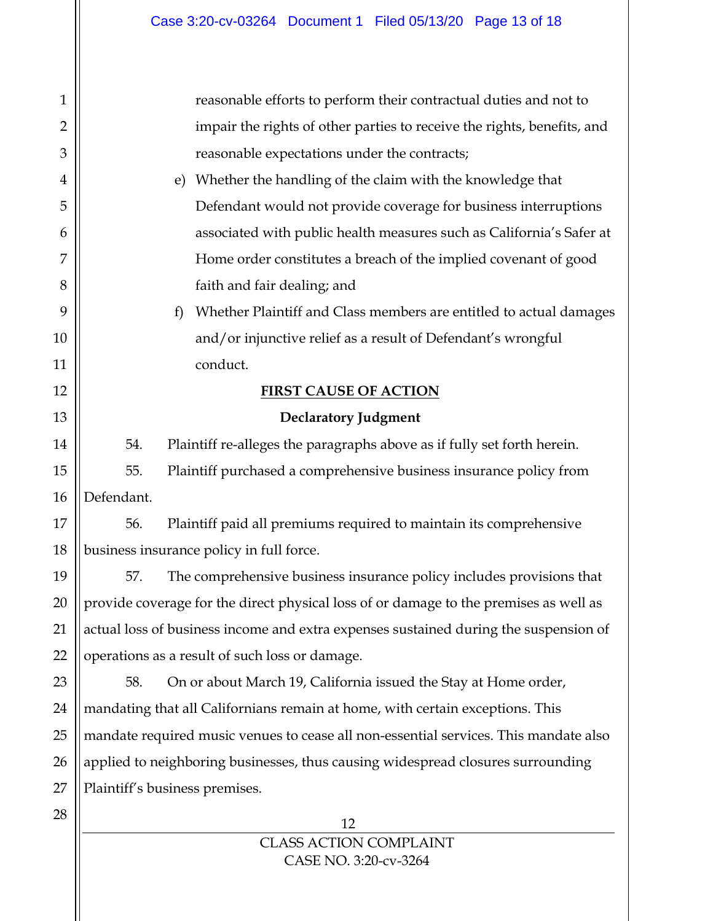| $\mathbf{1}$   |                                                                                       | reasonable efforts to perform their contractual duties and not to       |  |  |  |  |
|----------------|---------------------------------------------------------------------------------------|-------------------------------------------------------------------------|--|--|--|--|
| $\overline{2}$ | impair the rights of other parties to receive the rights, benefits, and               |                                                                         |  |  |  |  |
| 3              | reasonable expectations under the contracts;                                          |                                                                         |  |  |  |  |
| 4              |                                                                                       | Whether the handling of the claim with the knowledge that<br>e)         |  |  |  |  |
| 5              |                                                                                       | Defendant would not provide coverage for business interruptions         |  |  |  |  |
| 6              |                                                                                       | associated with public health measures such as California's Safer at    |  |  |  |  |
| 7              |                                                                                       | Home order constitutes a breach of the implied covenant of good         |  |  |  |  |
| 8              |                                                                                       | faith and fair dealing; and                                             |  |  |  |  |
| 9              |                                                                                       | Whether Plaintiff and Class members are entitled to actual damages<br>f |  |  |  |  |
| 10             |                                                                                       | and/or injunctive relief as a result of Defendant's wrongful            |  |  |  |  |
| 11             | conduct.                                                                              |                                                                         |  |  |  |  |
| 12             | <b>FIRST CAUSE OF ACTION</b>                                                          |                                                                         |  |  |  |  |
| 13             | <b>Declaratory Judgment</b>                                                           |                                                                         |  |  |  |  |
| 14             | 54.                                                                                   | Plaintiff re-alleges the paragraphs above as if fully set forth herein. |  |  |  |  |
| 15             | 55.                                                                                   | Plaintiff purchased a comprehensive business insurance policy from      |  |  |  |  |
| 16             | Defendant.                                                                            |                                                                         |  |  |  |  |
| 17             | 56.                                                                                   | Plaintiff paid all premiums required to maintain its comprehensive      |  |  |  |  |
| 18             |                                                                                       | business insurance policy in full force.                                |  |  |  |  |
| 19             | 57.                                                                                   | The comprehensive business insurance policy includes provisions that    |  |  |  |  |
| 20             | provide coverage for the direct physical loss of or damage to the premises as well as |                                                                         |  |  |  |  |
| 21             | actual loss of business income and extra expenses sustained during the suspension of  |                                                                         |  |  |  |  |
| 22             | operations as a result of such loss or damage.                                        |                                                                         |  |  |  |  |
| 23             | 58.                                                                                   | On or about March 19, California issued the Stay at Home order,         |  |  |  |  |
| 24             | mandating that all Californians remain at home, with certain exceptions. This         |                                                                         |  |  |  |  |
| 25             | mandate required music venues to cease all non-essential services. This mandate also  |                                                                         |  |  |  |  |
| 26             | applied to neighboring businesses, thus causing widespread closures surrounding       |                                                                         |  |  |  |  |
| 27             | Plaintiff's business premises.                                                        |                                                                         |  |  |  |  |
| 28             |                                                                                       | 12                                                                      |  |  |  |  |
|                |                                                                                       |                                                                         |  |  |  |  |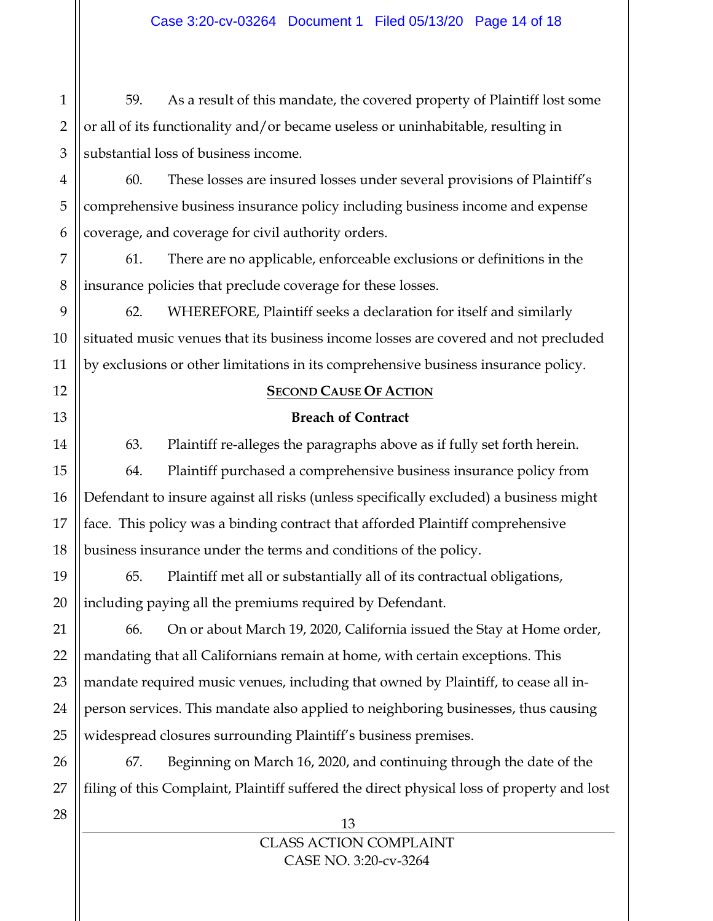1 59. As a result of this mandate, the covered property of Plaintiff lost some or all of its functionality and/or became useless or uninhabitable, resulting in substantial loss of business income.

60. These losses are insured losses under several provisions of Plaintiff's comprehensive business insurance policy including business income and expense coverage, and coverage for civil authority orders.

61. There are no applicable, enforceable exclusions or definitions in the insurance policies that preclude coverage for these losses.

62. WHEREFORE, Plaintiff seeks a declaration for itself and similarly situated music venues that its business income losses are covered and not precluded by exclusions or other limitations in its comprehensive business insurance policy.

### **SECOND CAUSE OF ACTION**

# **Breach of Contract**

63. Plaintiff re-alleges the paragraphs above as if fully set forth herein.

64. Plaintiff purchased a comprehensive business insurance policy from Defendant to insure against all risks (unless specifically excluded) a business might face. This policy was a binding contract that afforded Plaintiff comprehensive business insurance under the terms and conditions of the policy.

65. Plaintiff met all or substantially all of its contractual obligations, including paying all the premiums required by Defendant.

66. On or about March 19, 2020, California issued the Stay at Home order, mandating that all Californians remain at home, with certain exceptions. This mandate required music venues, including that owned by Plaintiff, to cease all inperson services. This mandate also applied to neighboring businesses, thus causing widespread closures surrounding Plaintiff's business premises.

67. Beginning on March 16, 2020, and continuing through the date of the filing of this Complaint, Plaintiff suffered the direct physical loss of property and lost

> 13 CLASS ACTION COMPLAINT CASE NO. 3:20-cv-3264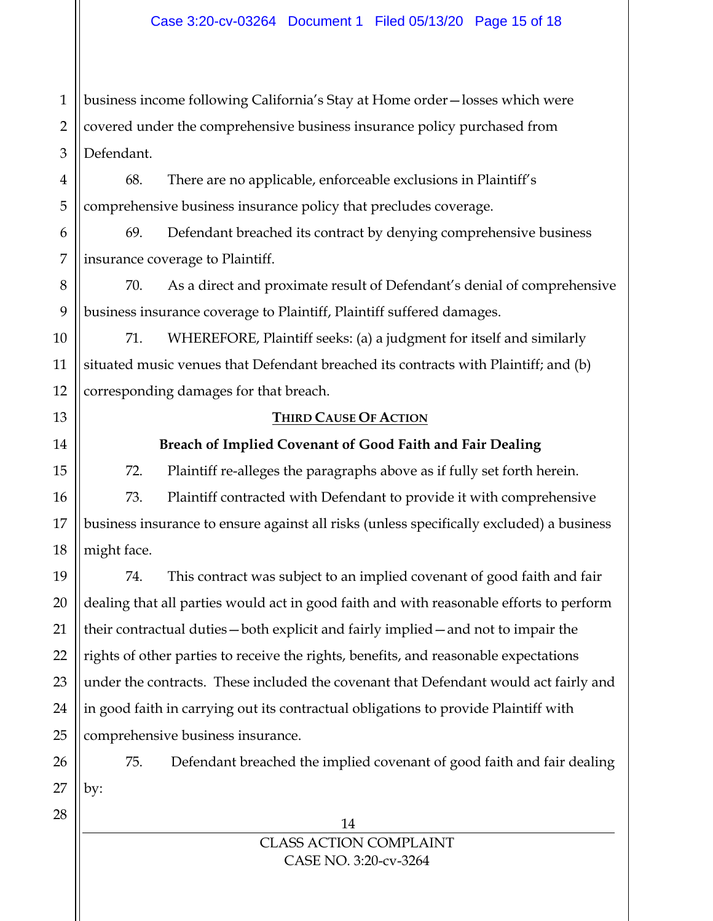1 2 3 business income following California's Stay at Home order—losses which were covered under the comprehensive business insurance policy purchased from Defendant.

68. There are no applicable, enforceable exclusions in Plaintiff's comprehensive business insurance policy that precludes coverage.

69. Defendant breached its contract by denying comprehensive business insurance coverage to Plaintiff.

70. As a direct and proximate result of Defendant's denial of comprehensive business insurance coverage to Plaintiff, Plaintiff suffered damages.

71. WHEREFORE, Plaintiff seeks: (a) a judgment for itself and similarly situated music venues that Defendant breached its contracts with Plaintiff; and (b) corresponding damages for that breach.

### **THIRD CAUSE OF ACTION**

# **Breach of Implied Covenant of Good Faith and Fair Dealing**

72. Plaintiff re-alleges the paragraphs above as if fully set forth herein.

73. Plaintiff contracted with Defendant to provide it with comprehensive business insurance to ensure against all risks (unless specifically excluded) a business might face.

74. This contract was subject to an implied covenant of good faith and fair dealing that all parties would act in good faith and with reasonable efforts to perform their contractual duties—both explicit and fairly implied—and not to impair the rights of other parties to receive the rights, benefits, and reasonable expectations under the contracts. These included the covenant that Defendant would act fairly and in good faith in carrying out its contractual obligations to provide Plaintiff with comprehensive business insurance.

75. Defendant breached the implied covenant of good faith and fair dealing by: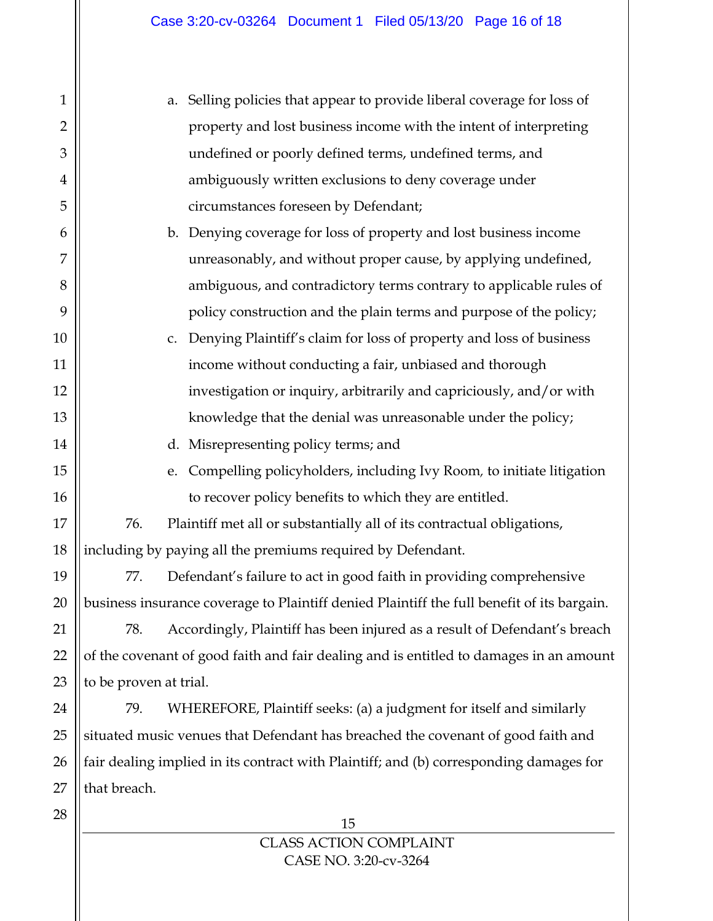| $\mathbf{1}$   | Selling policies that appear to provide liberal coverage for loss of<br>a.                 |
|----------------|--------------------------------------------------------------------------------------------|
| $\overline{2}$ | property and lost business income with the intent of interpreting                          |
| 3              | undefined or poorly defined terms, undefined terms, and                                    |
| $\overline{4}$ | ambiguously written exclusions to deny coverage under                                      |
| 5              | circumstances foreseen by Defendant;                                                       |
| 6              | b. Denying coverage for loss of property and lost business income                          |
| 7              | unreasonably, and without proper cause, by applying undefined,                             |
| 8              | ambiguous, and contradictory terms contrary to applicable rules of                         |
| 9              | policy construction and the plain terms and purpose of the policy;                         |
| 10             | Denying Plaintiff's claim for loss of property and loss of business<br>C.                  |
| 11             | income without conducting a fair, unbiased and thorough                                    |
| 12             | investigation or inquiry, arbitrarily and capriciously, and/or with                        |
| 13             | knowledge that the denial was unreasonable under the policy;                               |
| 14             | d. Misrepresenting policy terms; and                                                       |
| 15             | Compelling policyholders, including Ivy Room, to initiate litigation<br>e.                 |
| 16             | to recover policy benefits to which they are entitled.                                     |
| 17             | 76.<br>Plaintiff met all or substantially all of its contractual obligations,              |
| 18             | including by paying all the premiums required by Defendant.                                |
| 19             | 77.<br>Defendant's failure to act in good faith in providing comprehensive                 |
| 20             | business insurance coverage to Plaintiff denied Plaintiff the full benefit of its bargain. |
| 21             | Accordingly, Plaintiff has been injured as a result of Defendant's breach<br>78.           |
| 22             | of the covenant of good faith and fair dealing and is entitled to damages in an amount     |
| 23             | to be proven at trial.                                                                     |
| 24             | 79.<br>WHEREFORE, Plaintiff seeks: (a) a judgment for itself and similarly                 |
| 25             | situated music venues that Defendant has breached the covenant of good faith and           |
| 26             | fair dealing implied in its contract with Plaintiff; and (b) corresponding damages for     |
| 27             | that breach.                                                                               |
| 28             | 15                                                                                         |
|                |                                                                                            |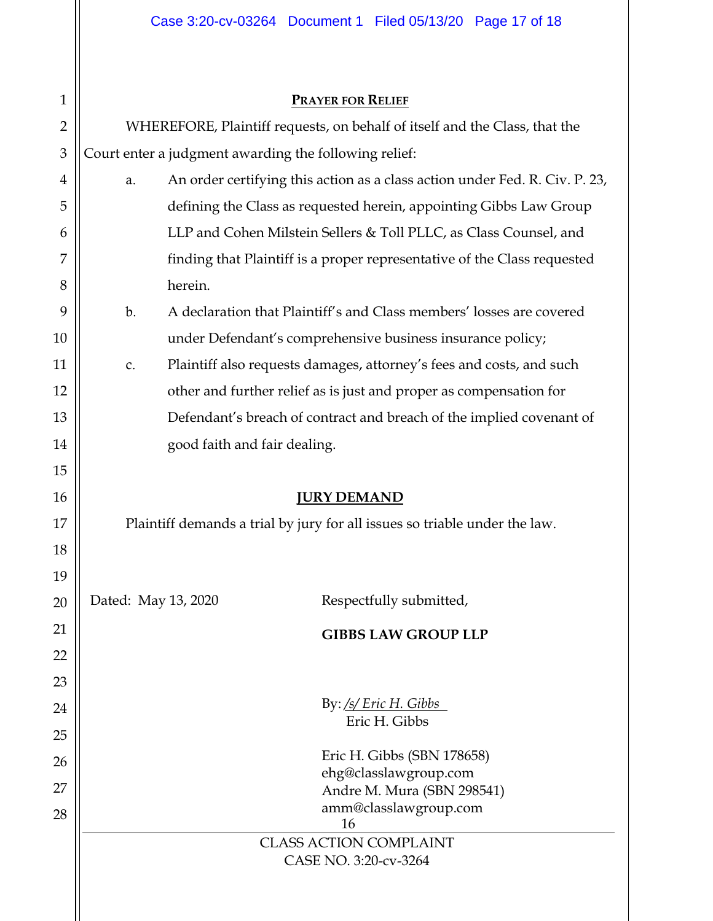| $\mathbf{1}$   |                                                                            |         | <b>PRAYER FOR RELIEF</b>                                                    |  |  |  |
|----------------|----------------------------------------------------------------------------|---------|-----------------------------------------------------------------------------|--|--|--|
| $\overline{2}$ | WHEREFORE, Plaintiff requests, on behalf of itself and the Class, that the |         |                                                                             |  |  |  |
| $\mathfrak{B}$ | Court enter a judgment awarding the following relief:                      |         |                                                                             |  |  |  |
| 4              | a.                                                                         |         | An order certifying this action as a class action under Fed. R. Civ. P. 23, |  |  |  |
| 5              |                                                                            |         | defining the Class as requested herein, appointing Gibbs Law Group          |  |  |  |
| 6              |                                                                            |         | LLP and Cohen Milstein Sellers & Toll PLLC, as Class Counsel, and           |  |  |  |
| 7              |                                                                            |         | finding that Plaintiff is a proper representative of the Class requested    |  |  |  |
| 8              |                                                                            | herein. |                                                                             |  |  |  |
| 9              | b.                                                                         |         | A declaration that Plaintiff's and Class members' losses are covered        |  |  |  |
| 10             |                                                                            |         | under Defendant's comprehensive business insurance policy;                  |  |  |  |
| 11             | c.                                                                         |         | Plaintiff also requests damages, attorney's fees and costs, and such        |  |  |  |
| 12             |                                                                            |         | other and further relief as is just and proper as compensation for          |  |  |  |
| 13             |                                                                            |         | Defendant's breach of contract and breach of the implied covenant of        |  |  |  |
| 14             | good faith and fair dealing.                                               |         |                                                                             |  |  |  |
| 15             |                                                                            |         |                                                                             |  |  |  |
| 16             | <b>JURY DEMAND</b>                                                         |         |                                                                             |  |  |  |
| 17             | Plaintiff demands a trial by jury for all issues so triable under the law. |         |                                                                             |  |  |  |
| 18             |                                                                            |         |                                                                             |  |  |  |
| 19             |                                                                            |         |                                                                             |  |  |  |
| 20             | Dated: May 13, 2020                                                        |         | Respectfully submitted,                                                     |  |  |  |
| 21             |                                                                            |         | <b>GIBBS LAW GROUP LLP</b>                                                  |  |  |  |
| 22             |                                                                            |         |                                                                             |  |  |  |
| 23             |                                                                            |         |                                                                             |  |  |  |
| 24             | By: $\frac{fs}{Eric}$ H. Gibbs                                             |         |                                                                             |  |  |  |
| 25             | Eric H. Gibbs                                                              |         |                                                                             |  |  |  |
| 26             | Eric H. Gibbs (SBN 178658)                                                 |         |                                                                             |  |  |  |
| 27             | ehg@classlawgroup.com<br>Andre M. Mura (SBN 298541)                        |         |                                                                             |  |  |  |
| 28             | amm@classlawgroup.com                                                      |         |                                                                             |  |  |  |
|                | 16                                                                         |         |                                                                             |  |  |  |
|                |                                                                            |         |                                                                             |  |  |  |
|                |                                                                            |         | <b>CLASS ACTION COMPLAINT</b><br>CASE NO. 3:20-cv-3264                      |  |  |  |

 $\parallel$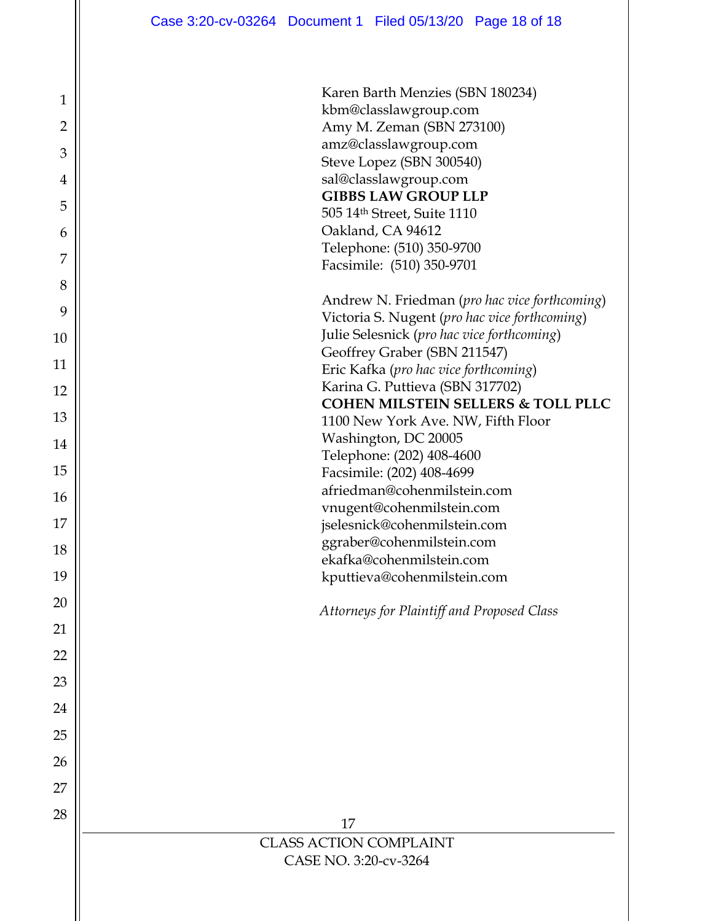| 1              |
|----------------|
| $\overline{2}$ |
| 3              |
| 4              |
| 5              |
| 6              |
| $\overline{7}$ |
| 8              |
| 9              |
| 10             |
| 11             |
| 12             |
| 13             |
| 14             |
| 15             |
| 16             |
| 17             |
| 18             |
| 19             |
| 20             |
| 21             |
| 22             |
| 23             |
| 24             |
| 25             |
| 26             |
| 27             |
| 28             |
|                |

| Karen Barth Menzies (SBN 180234)<br>kbm@classlawgroup.com<br>Amy M. Zeman (SBN 273100)<br>amz@classlawgroup.com<br>Steve Lopez (SBN 300540)<br>sal@classlawgroup.com<br><b>GIBBS LAW GROUP LLP</b><br>505 14th Street, Suite 1110<br>Oakland, CA 94612<br>Telephone: (510) 350-9700<br>Facsimile: (510) 350-9701                                                                                                                                                                                                                                                                                                      |
|-----------------------------------------------------------------------------------------------------------------------------------------------------------------------------------------------------------------------------------------------------------------------------------------------------------------------------------------------------------------------------------------------------------------------------------------------------------------------------------------------------------------------------------------------------------------------------------------------------------------------|
| Andrew N. Friedman (pro hac vice forthcoming)<br>Victoria S. Nugent (pro hac vice forthcoming)<br>Julie Selesnick (pro hac vice forthcoming)<br>Geoffrey Graber (SBN 211547)<br>Eric Kafka (pro hac vice forthcoming)<br>Karina G. Puttieva (SBN 317702)<br><b>COHEN MILSTEIN SELLERS &amp; TOLL PLLC</b><br>1100 New York Ave. NW, Fifth Floor<br>Washington, DC 20005<br>Telephone: (202) 408-4600<br>Facsimile: (202) 408-4699<br>afriedman@cohenmilstein.com<br>vnugent@cohenmilstein.com<br>jselesnick@cohenmilstein.com<br>ggraber@cohenmilstein.com<br>ekafka@cohenmilstein.com<br>kputtieva@cohenmilstein.com |
| Attorneys for Plaintiff and Proposed Class                                                                                                                                                                                                                                                                                                                                                                                                                                                                                                                                                                            |